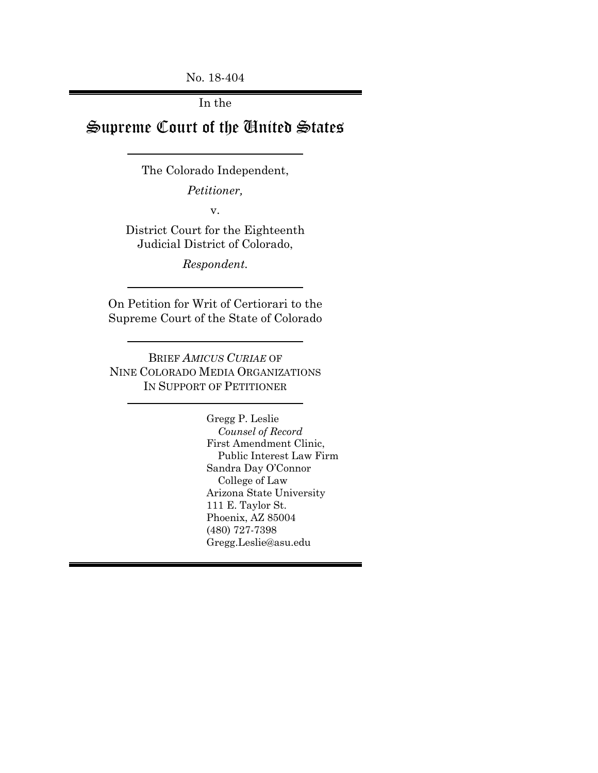No. 18-404

In the

# Supreme Court of the United States

The Colorado Independent,

*Petitioner,*

v.

District Court for the Eighteenth Judicial District of Colorado,

*Respondent.*

On Petition for Writ of Certiorari to the Supreme Court of the State of Colorado

BRIEF *AMICUS CURIAE* OF NINE COLORADO MEDIA ORGANIZATIONS IN SUPPORT OF PETITIONER

> Gregg P. Leslie *Counsel of Record* First Amendment Clinic, Public Interest Law Firm Sandra Day O'Connor College of Law Arizona State University 111 E. Taylor St. Phoenix, AZ 85004 (480) 727-7398 Gregg.Leslie@asu.edu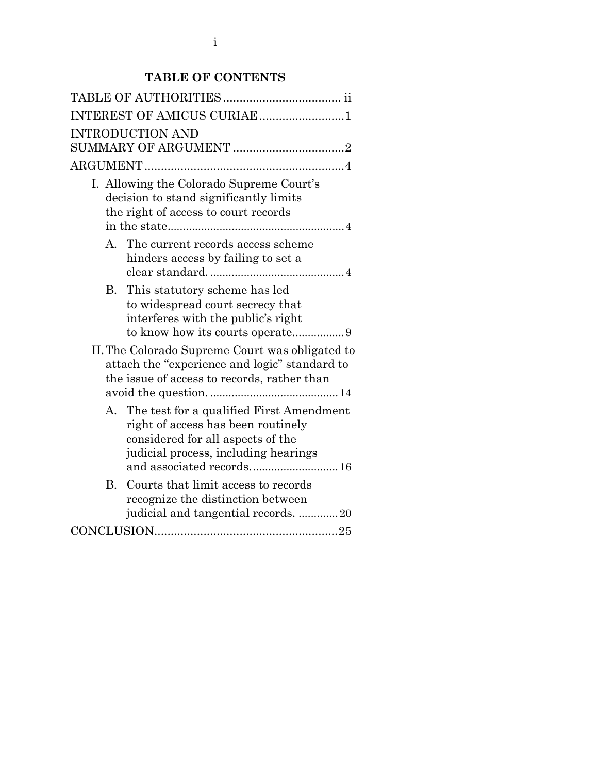## **TABLE OF CONTENTS**

| INTEREST OF AMICUS CURIAE 1                                                                                                                                                                 |  |  |  |  |  |  |
|---------------------------------------------------------------------------------------------------------------------------------------------------------------------------------------------|--|--|--|--|--|--|
| <b>INTRODUCTION AND</b>                                                                                                                                                                     |  |  |  |  |  |  |
|                                                                                                                                                                                             |  |  |  |  |  |  |
| I. Allowing the Colorado Supreme Court's<br>decision to stand significantly limits<br>the right of access to court records                                                                  |  |  |  |  |  |  |
| A. The current records access scheme<br>hinders access by failing to set a                                                                                                                  |  |  |  |  |  |  |
| This statutory scheme has led<br>В.<br>to widespread court secrecy that<br>interferes with the public's right                                                                               |  |  |  |  |  |  |
| II. The Colorado Supreme Court was obligated to<br>attach the "experience and logic" standard to<br>the issue of access to records, rather than                                             |  |  |  |  |  |  |
| A. The test for a qualified First Amendment<br>right of access has been routinely<br>considered for all aspects of the<br>judicial process, including hearings<br>and associated records 16 |  |  |  |  |  |  |
| B.<br>Courts that limit access to records<br>recognize the distinction between<br>judicial and tangential records. 20                                                                       |  |  |  |  |  |  |
| $\textbf{CONCLUSION}.\textcolor{red}{\textbf{25}}$                                                                                                                                          |  |  |  |  |  |  |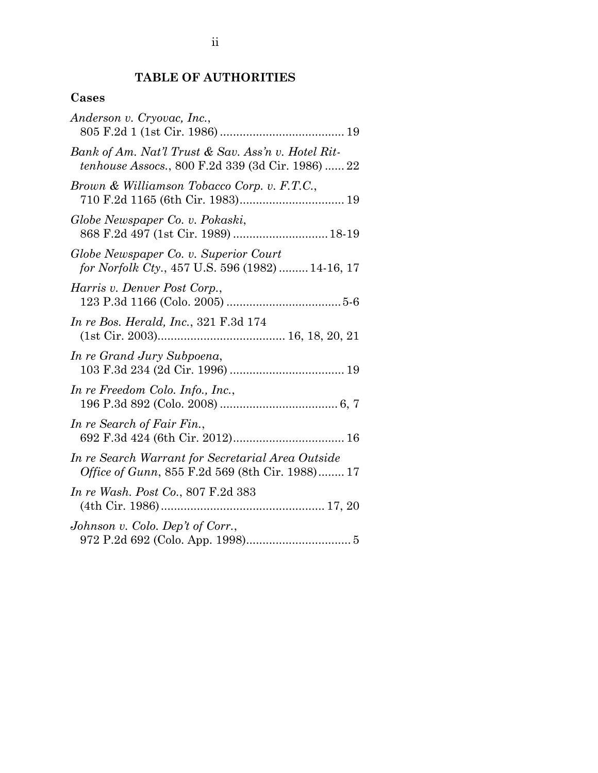## **TABLE OF AUTHORITIES**

### <span id="page-2-0"></span>**Cases**

| Anderson v. Cryovac, Inc.,                                                                                      |
|-----------------------------------------------------------------------------------------------------------------|
| Bank of Am. Nat'l Trust & Sav. Ass'n v. Hotel Rit-<br><i>tenhouse Assocs.</i> , 800 F.2d 339 (3d Cir. 1986)  22 |
| Brown & Williamson Tobacco Corp. v. F.T.C.,                                                                     |
| Globe Newspaper Co. v. Pokaski,<br>868 F.2d 497 (1st Cir. 1989)  18-19                                          |
| Globe Newspaper Co. v. Superior Court<br>for Norfolk Cty., 457 U.S. 596 (1982)  14-16, 17                       |
| Harris v. Denver Post Corp.,                                                                                    |
| <i>In re Bos. Herald, Inc., 321 F.3d 174</i>                                                                    |
| In re Grand Jury Subpoena,                                                                                      |
| In re Freedom Colo. Info., Inc.,                                                                                |
| In re Search of Fair Fin.,                                                                                      |
| In re Search Warrant for Secretarial Area Outside<br><i>Office of Gunn</i> , 855 F.2d 569 (8th Cir. 1988) 17    |
| In re Wash. Post Co., 807 F.2d 383                                                                              |
| Johnson v. Colo. Dep't of Corr.,                                                                                |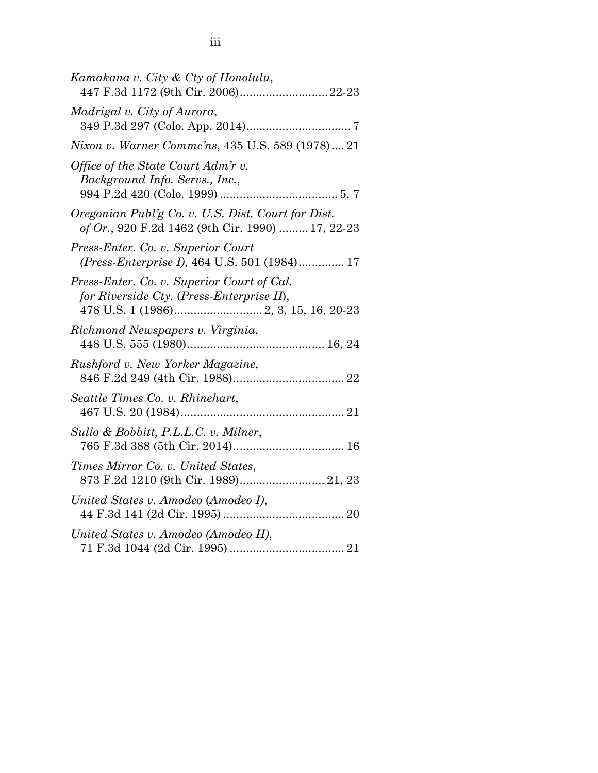| Kamakana v. City & Cty of Honolulu,<br>447 F.3d 1172 (9th Cir. 2006)22-23                              |
|--------------------------------------------------------------------------------------------------------|
| Madrigal v. City of Aurora,                                                                            |
| Nixon v. Warner Commc'ns, 435 U.S. 589 (1978) 21                                                       |
| Office of the State Court Adm'r v.<br>Background Info. Servs., Inc.,                                   |
| Oregonian Publ'g Co. v. U.S. Dist. Court for Dist.<br>of Or., 920 F.2d 1462 (9th Cir. 1990)  17, 22-23 |
| Press-Enter. Co. v. Superior Court<br>(Press-Enterprise I), 464 U.S. 501 (1984) 17                     |
| Press-Enter. Co. v. Superior Court of Cal.<br>for Riverside Cty. (Press-Enterprise II),                |
| Richmond Newspapers v. Virginia,                                                                       |
| Rushford v. New Yorker Magazine,                                                                       |
| Seattle Times Co. v. Rhinehart,                                                                        |
| Sullo & Bobbitt, P.L.L.C. v. Milner,                                                                   |
| Times Mirror Co. v. United States,                                                                     |
| United States v. Amodeo (Amodeo I),                                                                    |
| United States v. Amodeo (Amodeo II),                                                                   |
|                                                                                                        |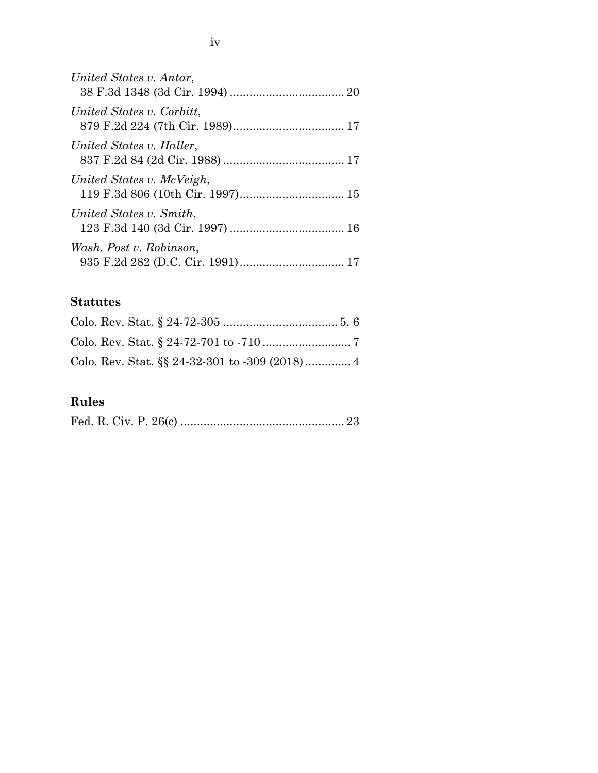| United States v. Antar,   |  |
|---------------------------|--|
| United States v. Corbitt, |  |
| United States v. Haller,  |  |
| United States v. McVeigh, |  |
| United States v. Smith,   |  |
| Wash. Post v. Robinson,   |  |

## **Statutes**

## **Rules**

<span id="page-4-0"></span>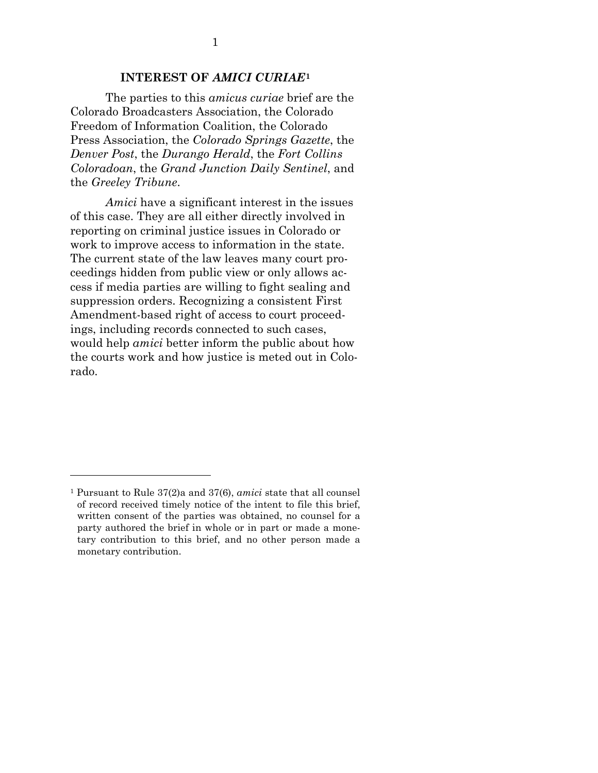#### **INTEREST OF** *AMICI CURIAE***[1](#page-5-1)**

The parties to this *amicus curiae* brief are the Colorado Broadcasters Association, the Colorado Freedom of Information Coalition, the Colorado Press Association, the *Colorado Springs Gazette*, the *Denver Post*, the *Durango Herald*, the *Fort Collins Coloradoan*, the *Grand Junction Daily Sentinel*, and the *Greeley Tribune*.

*Amici* have a significant interest in the issues of this case. They are all either directly involved in reporting on criminal justice issues in Colorado or work to improve access to information in the state. The current state of the law leaves many court proceedings hidden from public view or only allows access if media parties are willing to fight sealing and suppression orders. Recognizing a consistent First Amendment-based right of access to court proceedings, including records connected to such cases, would help *amici* better inform the public about how the courts work and how justice is meted out in Colorado.

<span id="page-5-0"></span> $\overline{a}$ 

<span id="page-5-1"></span><sup>1</sup> Pursuant to Rule 37(2)a and 37(6), *amici* state that all counsel of record received timely notice of the intent to file this brief, written consent of the parties was obtained, no counsel for a party authored the brief in whole or in part or made a monetary contribution to this brief, and no other person made a monetary contribution.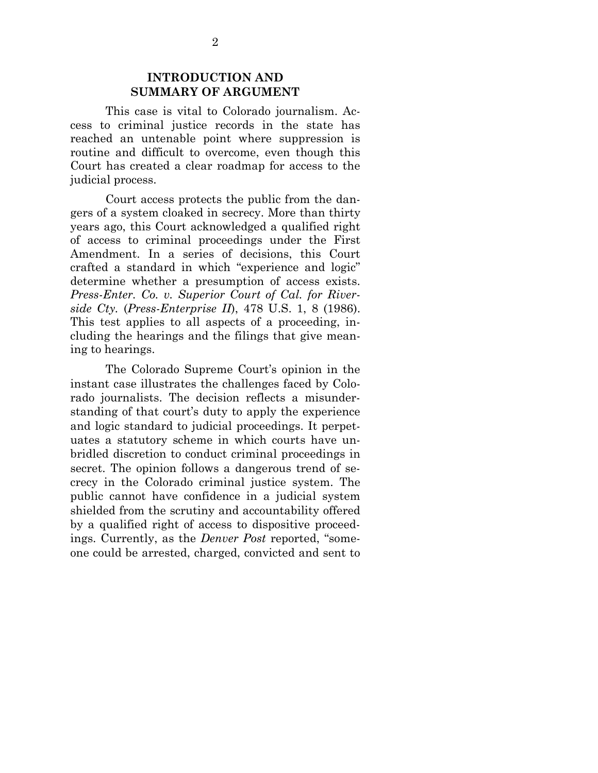#### **INTRODUCTION AND SUMMARY OF ARGUMENT**

This case is vital to Colorado journalism. Access to criminal justice records in the state has reached an untenable point where suppression is routine and difficult to overcome, even though this Court has created a clear roadmap for access to the judicial process.

Court access protects the public from the dangers of a system cloaked in secrecy. More than thirty years ago, this Court acknowledged a qualified right of access to criminal proceedings under the First Amendment. In a series of decisions, this Court crafted a standard in which "experience and logic" determine whether a presumption of access exists. *Press-Enter. Co. v. Superior Court of Cal. for Riverside Cty.* (*Press-Enterprise II*), 478 U.S. 1, 8 (1986). This test applies to all aspects of a proceeding, including the hearings and the filings that give meaning to hearings.

 The Colorado Supreme Court's opinion in the instant case illustrates the challenges faced by Colorado journalists. The decision reflects a misunderstanding of that court's duty to apply the experience and logic standard to judicial proceedings. It perpetuates a statutory scheme in which courts have unbridled discretion to conduct criminal proceedings in secret. The opinion follows a dangerous trend of secrecy in the Colorado criminal justice system. The public cannot have confidence in a judicial system shielded from the scrutiny and accountability offered by a qualified right of access to dispositive proceedings. Currently, as the *Denver Post* reported, "someone could be arrested, charged, convicted and sent to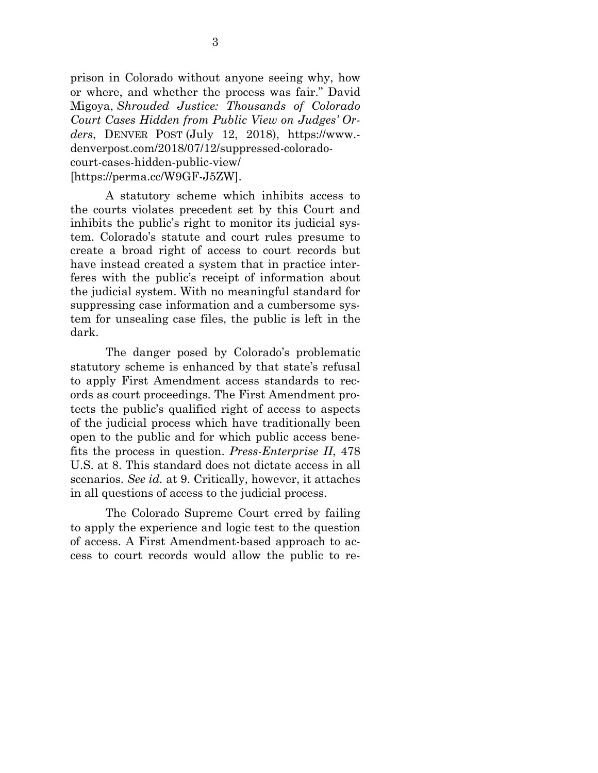prison in Colorado without anyone seeing why, how or where, and whether the process was fair." David Migoya, *Shrouded Justice: Thousands of Colorado Court Cases Hidden from Public View on Judges' Orders*, DENVER POST (July 12, 2018), https://www. denverpost.com/2018/07/12/suppressed-coloradocourt-cases-hidden-public-view/ [https://perma.cc/W9GF-J5ZW].

A statutory scheme which inhibits access to the courts violates precedent set by this Court and inhibits the public's right to monitor its judicial system. Colorado's statute and court rules presume to create a broad right of access to court records but have instead created a system that in practice interferes with the public's receipt of information about the judicial system. With no meaningful standard for suppressing case information and a cumbersome system for unsealing case files, the public is left in the dark.

The danger posed by Colorado's problematic statutory scheme is enhanced by that state's refusal to apply First Amendment access standards to records as court proceedings. The First Amendment protects the public's qualified right of access to aspects of the judicial process which have traditionally been open to the public and for which public access benefits the process in question. *Press-Enterprise II*, 478 U.S. at 8. This standard does not dictate access in all scenarios. *See id.* at 9. Critically, however, it attaches in all questions of access to the judicial process.

The Colorado Supreme Court erred by failing to apply the experience and logic test to the question of access. A First Amendment-based approach to access to court records would allow the public to re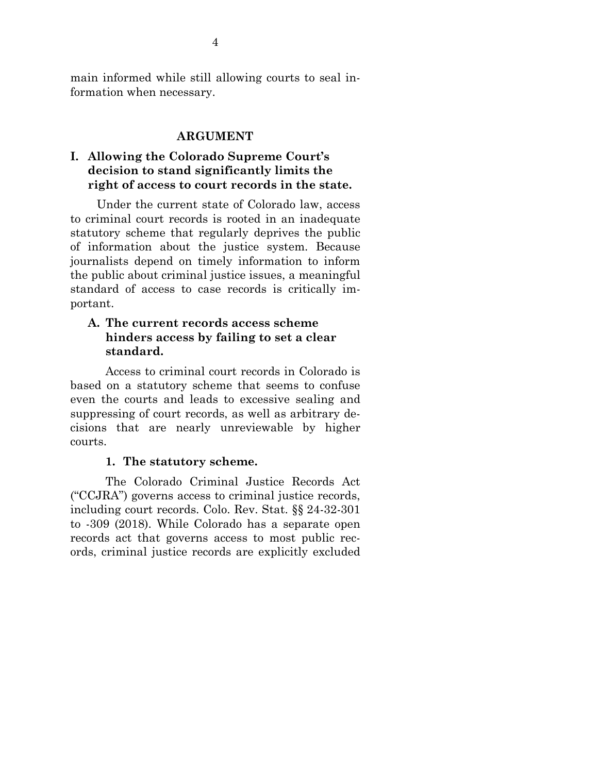main informed while still allowing courts to seal information when necessary.

#### **ARGUMENT**

### <span id="page-8-1"></span><span id="page-8-0"></span>**I. Allowing the Colorado Supreme Court's decision to stand significantly limits the right of access to court records in the state.**

Under the current state of Colorado law, access to criminal court records is rooted in an inadequate statutory scheme that regularly deprives the public of information about the justice system. Because journalists depend on timely information to inform the public about criminal justice issues, a meaningful standard of access to case records is critically important.

#### <span id="page-8-2"></span>**A. The current records access scheme hinders access by failing to set a clear standard.**

Access to criminal court records in Colorado is based on a statutory scheme that seems to confuse even the courts and leads to excessive sealing and suppressing of court records, as well as arbitrary decisions that are nearly unreviewable by higher courts.

#### **1. The statutory scheme.**

The Colorado Criminal Justice Records Act ("CCJRA") governs access to criminal justice records, including court records. Colo. Rev. Stat. §§ 24-32-301 to -309 (2018). While Colorado has a separate open records act that governs access to most public records, criminal justice records are explicitly excluded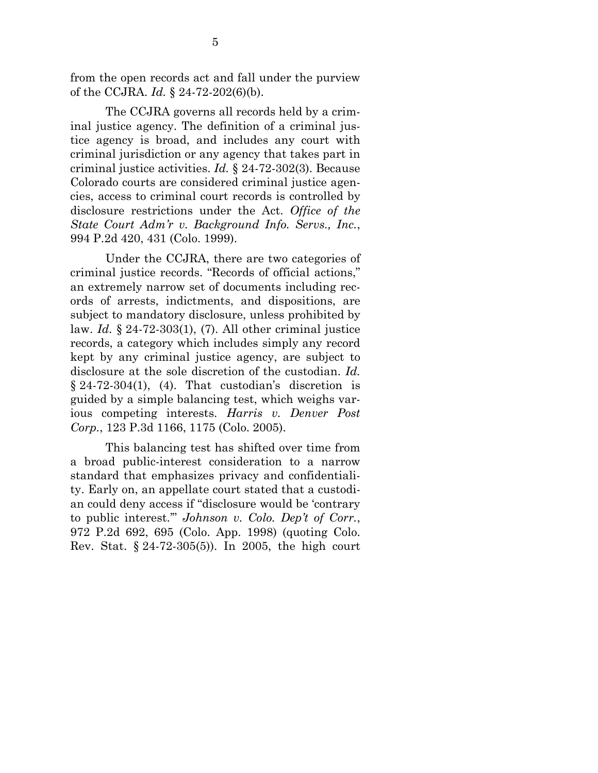from the open records act and fall under the purview of the CCJRA. *Id.* § 24-72-202(6)(b).

The CCJRA governs all records held by a criminal justice agency. The definition of a criminal justice agency is broad, and includes any court with criminal jurisdiction or any agency that takes part in criminal justice activities. *Id.* § 24-72-302(3). Because Colorado courts are considered criminal justice agencies, access to criminal court records is controlled by disclosure restrictions under the Act. *Office of the State Court Adm'r v. Background Info. Servs., Inc.*, 994 P.2d 420, 431 (Colo. 1999).

Under the CCJRA, there are two categories of criminal justice records. "Records of official actions," an extremely narrow set of documents including records of arrests, indictments, and dispositions, are subject to mandatory disclosure, unless prohibited by law. *Id.* § 24-72-303(1), (7). All other criminal justice records, a category which includes simply any record kept by any criminal justice agency, are subject to disclosure at the sole discretion of the custodian. *Id.*  $§ 24-72-304(1), (4)$ . That custodian's discretion is guided by a simple balancing test, which weighs various competing interests. *Harris v. Denver Post Corp.*, 123 P.3d 1166, 1175 (Colo. 2005).

This balancing test has shifted over time from a broad public-interest consideration to a narrow standard that emphasizes privacy and confidentiality. Early on, an appellate court stated that a custodian could deny access if "disclosure would be 'contrary to public interest.'" *Johnson v. Colo. Dep't of Corr.*, 972 P.2d 692, 695 (Colo. App. 1998) (quoting Colo. Rev. Stat. § 24-72-305(5)). In 2005, the high court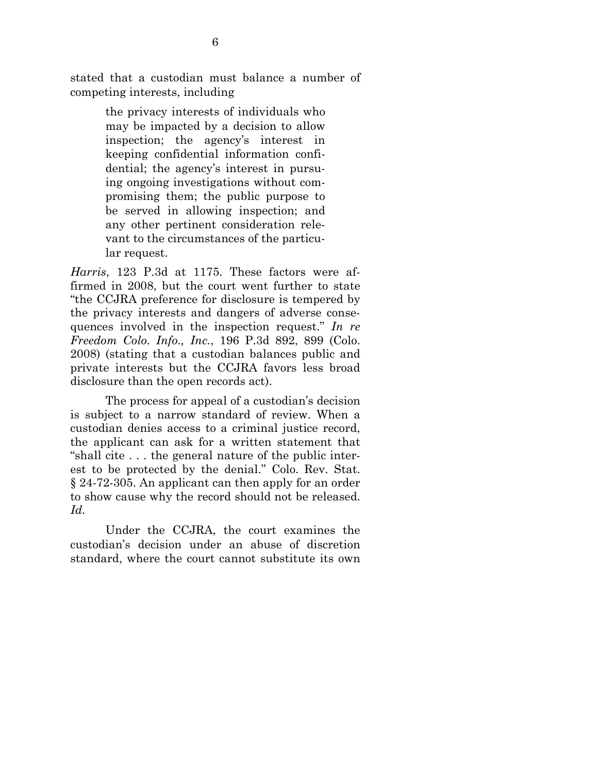stated that a custodian must balance a number of competing interests, including

> the privacy interests of individuals who may be impacted by a decision to allow inspection; the agency's interest in keeping confidential information confidential; the agency's interest in pursuing ongoing investigations without compromising them; the public purpose to be served in allowing inspection; and any other pertinent consideration relevant to the circumstances of the particular request.

*Harris*, 123 P.3d at 1175. These factors were affirmed in 2008, but the court went further to state "the CCJRA preference for disclosure is tempered by the privacy interests and dangers of adverse consequences involved in the inspection request." *In re Freedom Colo. Info., Inc.*, 196 P.3d 892, 899 (Colo. 2008) (stating that a custodian balances public and private interests but the CCJRA favors less broad disclosure than the open records act).

The process for appeal of a custodian's decision is subject to a narrow standard of review. When a custodian denies access to a criminal justice record, the applicant can ask for a written statement that "shall cite . . . the general nature of the public interest to be protected by the denial." Colo. Rev. Stat. § 24-72-305. An applicant can then apply for an order to show cause why the record should not be released. *Id.*

Under the CCJRA, the court examines the custodian's decision under an abuse of discretion standard, where the court cannot substitute its own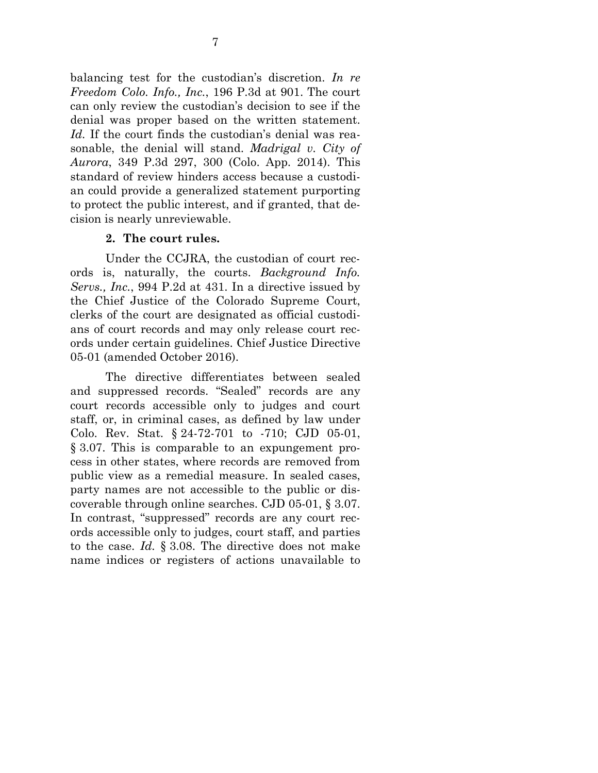balancing test for the custodian's discretion. *In re Freedom Colo. Info., Inc.*, 196 P.3d at 901. The court can only review the custodian's decision to see if the denial was proper based on the written statement. *Id.* If the court finds the custodian's denial was reasonable, the denial will stand. *Madrigal v. City of Aurora*, 349 P.3d 297, 300 (Colo. App. 2014). This standard of review hinders access because a custodian could provide a generalized statement purporting to protect the public interest, and if granted, that decision is nearly unreviewable.

#### **2. The court rules.**

Under the CCJRA, the custodian of court records is, naturally, the courts. *Background Info. Servs., Inc.*, 994 P.2d at 431. In a directive issued by the Chief Justice of the Colorado Supreme Court, clerks of the court are designated as official custodians of court records and may only release court records under certain guidelines. Chief Justice Directive 05-01 (amended October 2016).

The directive differentiates between sealed and suppressed records. "Sealed" records are any court records accessible only to judges and court staff, or, in criminal cases, as defined by law under Colo. Rev. Stat. § 24-72-701 to -710; CJD 05-01, § 3.07. This is comparable to an expungement process in other states, where records are removed from public view as a remedial measure. In sealed cases, party names are not accessible to the public or discoverable through online searches. CJD 05-01, § 3.07. In contrast, "suppressed" records are any court records accessible only to judges, court staff, and parties to the case. *Id.* § 3.08. The directive does not make name indices or registers of actions unavailable to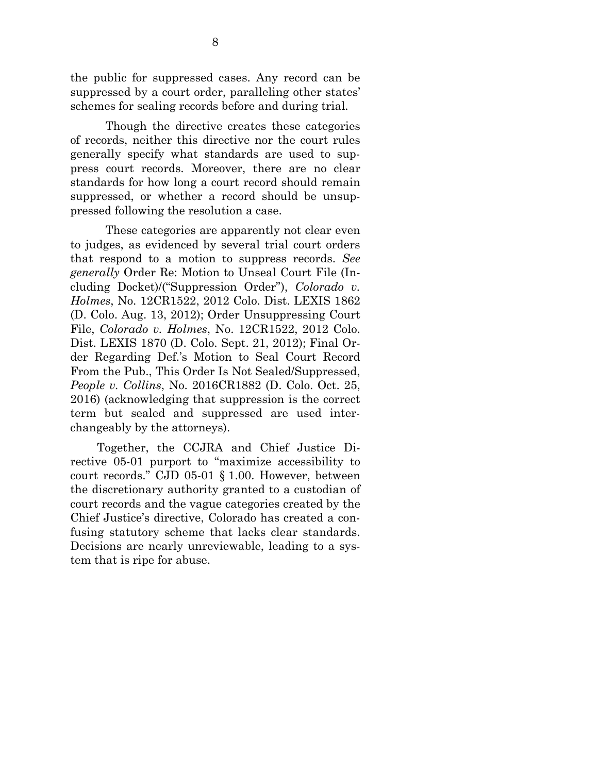the public for suppressed cases. Any record can be suppressed by a court order, paralleling other states' schemes for sealing records before and during trial.

Though the directive creates these categories of records, neither this directive nor the court rules generally specify what standards are used to suppress court records. Moreover, there are no clear standards for how long a court record should remain suppressed, or whether a record should be unsuppressed following the resolution a case.

These categories are apparently not clear even to judges, as evidenced by several trial court orders that respond to a motion to suppress records. *See generally* Order Re: Motion to Unseal Court File (Including Docket)/("Suppression Order"), *Colorado v. Holmes*, No. 12CR1522, 2012 Colo. Dist. LEXIS 1862 (D. Colo. Aug. 13, 2012); Order Unsuppressing Court File, *Colorado v. Holmes*, No. 12CR1522, 2012 Colo. Dist. LEXIS 1870 (D. Colo. Sept. 21, 2012); Final Order Regarding Def.'s Motion to Seal Court Record From the Pub., This Order Is Not Sealed/Suppressed, *People v. Collins*, No. 2016CR1882 (D. Colo. Oct. 25, 2016) (acknowledging that suppression is the correct term but sealed and suppressed are used interchangeably by the attorneys).

Together, the CCJRA and Chief Justice Directive 05-01 purport to "maximize accessibility to court records." CJD 05-01 § 1.00. However, between the discretionary authority granted to a custodian of court records and the vague categories created by the Chief Justice's directive, Colorado has created a confusing statutory scheme that lacks clear standards. Decisions are nearly unreviewable, leading to a system that is ripe for abuse.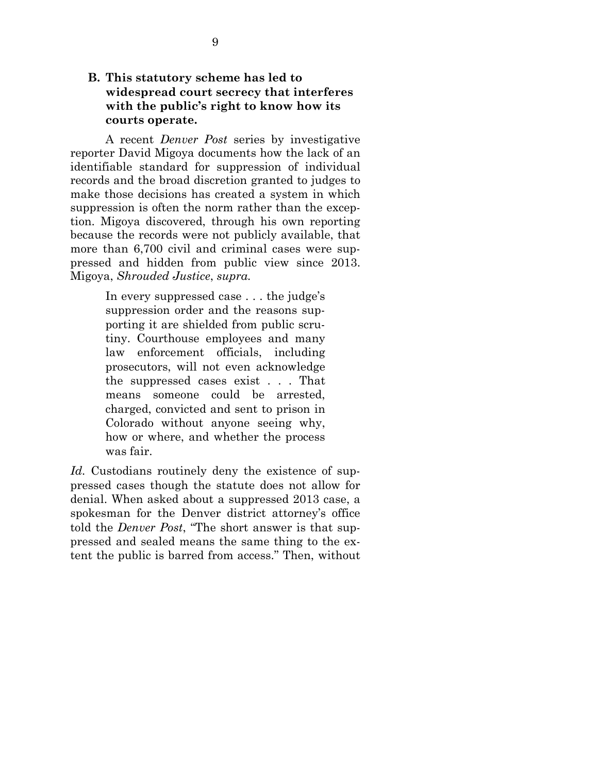### <span id="page-13-0"></span>**B. This statutory scheme has led to widespread court secrecy that interferes with the public's right to know how its courts operate.**

A recent *Denver Post* series by investigative reporter David Migoya documents how the lack of an identifiable standard for suppression of individual records and the broad discretion granted to judges to make those decisions has created a system in which suppression is often the norm rather than the exception. Migoya discovered, through his own reporting because the records were not publicly available, that more than 6,700 civil and criminal cases were suppressed and hidden from public view since 2013. Migoya, *Shrouded Justice*, *supra.* 

> In every suppressed case . . . the judge's suppression order and the reasons supporting it are shielded from public scrutiny. Courthouse employees and many law enforcement officials, including prosecutors, will not even acknowledge the suppressed cases exist . . . That means someone could be arrested, charged, convicted and sent to prison in Colorado without anyone seeing why, how or where, and whether the process was fair.

Id. Custodians routinely deny the existence of suppressed cases though the statute does not allow for denial. When asked about a suppressed 2013 case, a spokesman for the Denver district attorney's office told the *Denver Post*, "The short answer is that suppressed and sealed means the same thing to the extent the public is barred from access." Then, without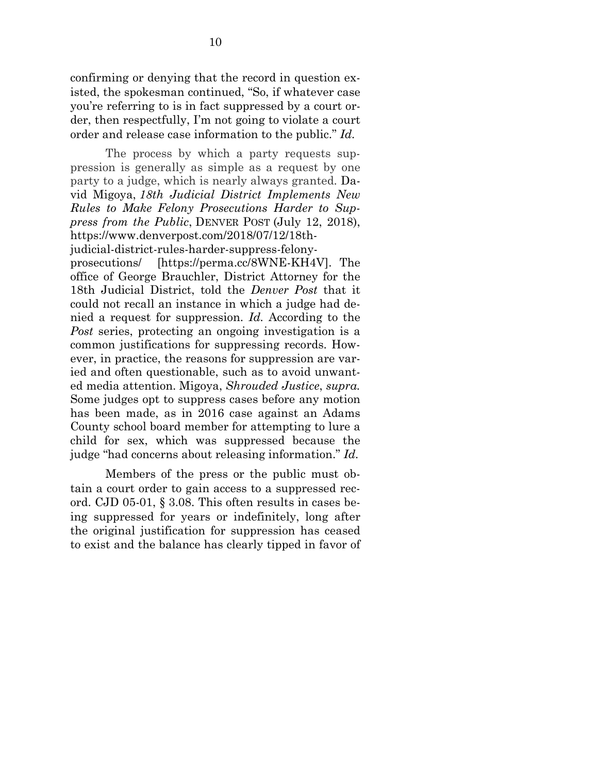confirming or denying that the record in question existed, the spokesman continued, "So, if whatever case you're referring to is in fact suppressed by a court order, then respectfully, I'm not going to violate a court order and release case information to the public." *Id.*

The process by which a party requests suppression is generally as simple as a request by one party to a judge, which is nearly always granted. David Migoya, *18th Judicial District Implements New Rules to Make Felony Prosecutions Harder to Suppress from the Public*, DENVER POST (July 12, 2018), https://www.denverpost.com/2018/07/12/18th-

judicial-district-rules-harder-suppress-felony-

prosecutions/ [https://perma.cc/8WNE-KH4V]. The office of George Brauchler, District Attorney for the 18th Judicial District, told the *Denver Post* that it could not recall an instance in which a judge had denied a request for suppression. *Id.* According to the *Post* series, protecting an ongoing investigation is a common justifications for suppressing records. However, in practice, the reasons for suppression are varied and often questionable, such as to avoid unwanted media attention. Migoya, *Shrouded Justice*, *supra.* Some judges opt to suppress cases before any motion has been made, as in 2016 case against an Adams County school board member for attempting to lure a child for sex, which was suppressed because the judge "had concerns about releasing information." *Id.*

Members of the press or the public must obtain a court order to gain access to a suppressed record. CJD 05-01, § 3.08. This often results in cases being suppressed for years or indefinitely, long after the original justification for suppression has ceased to exist and the balance has clearly tipped in favor of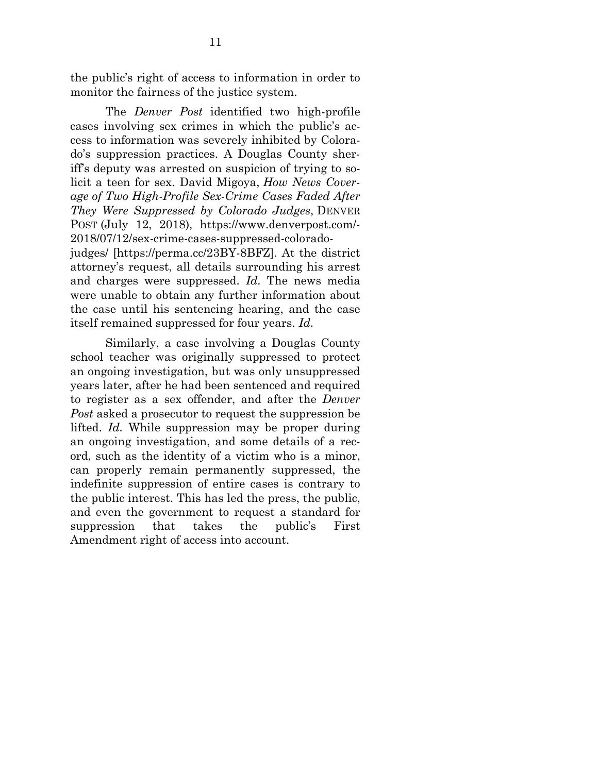the public's right of access to information in order to monitor the fairness of the justice system.

The *Denver Post* identified two high-profile cases involving sex crimes in which the public's access to information was severely inhibited by Colorado's suppression practices. A Douglas County sheriff's deputy was arrested on suspicion of trying to solicit a teen for sex. David Migoya, *How News Coverage of Two High-Profile Sex-Crime Cases Faded After They Were Suppressed by Colorado Judges*, DENVER POST (July 12, 2018), https://www.denverpost.com/- 2018/07/12/sex-crime-cases-suppressed-coloradojudges/ [https://perma.cc/23BY-8BFZ]. At the district attorney's request, all details surrounding his arrest and charges were suppressed. *Id.* The news media were unable to obtain any further information about the case until his sentencing hearing, and the case itself remained suppressed for four years. *Id.*

Similarly, a case involving a Douglas County school teacher was originally suppressed to protect an ongoing investigation, but was only unsuppressed years later, after he had been sentenced and required to register as a sex offender, and after the *Denver Post* asked a prosecutor to request the suppression be lifted. *Id.* While suppression may be proper during an ongoing investigation, and some details of a record, such as the identity of a victim who is a minor, can properly remain permanently suppressed, the indefinite suppression of entire cases is contrary to the public interest. This has led the press, the public, and even the government to request a standard for suppression that takes the public's First Amendment right of access into account.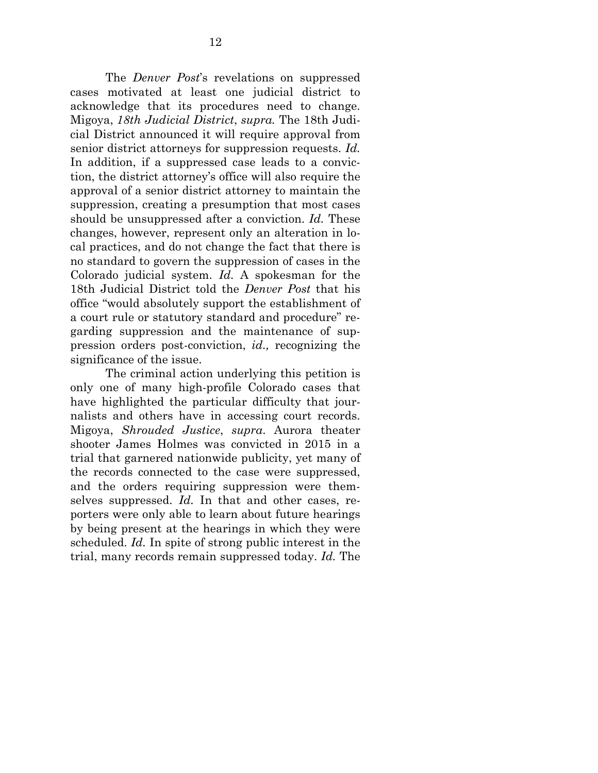The *Denver Post*'s revelations on suppressed cases motivated at least one judicial district to acknowledge that its procedures need to change. Migoya, *18th Judicial District*, *supra.* The 18th Judicial District announced it will require approval from senior district attorneys for suppression requests. *Id.*  In addition, if a suppressed case leads to a conviction, the district attorney's office will also require the approval of a senior district attorney to maintain the suppression, creating a presumption that most cases should be unsuppressed after a conviction. *Id.* These changes, however, represent only an alteration in local practices, and do not change the fact that there is no standard to govern the suppression of cases in the Colorado judicial system. *Id.* A spokesman for the 18th Judicial District told the *Denver Post* that his office "would absolutely support the establishment of a court rule or statutory standard and procedure" regarding suppression and the maintenance of suppression orders post-conviction, *id.,* recognizing the significance of the issue.

The criminal action underlying this petition is only one of many high-profile Colorado cases that have highlighted the particular difficulty that journalists and others have in accessing court records. Migoya, *Shrouded Justice*, *supra*. Aurora theater shooter James Holmes was convicted in 2015 in a trial that garnered nationwide publicity, yet many of the records connected to the case were suppressed, and the orders requiring suppression were themselves suppressed. *Id.* In that and other cases, reporters were only able to learn about future hearings by being present at the hearings in which they were scheduled. *Id.* In spite of strong public interest in the trial, many records remain suppressed today. *Id.* The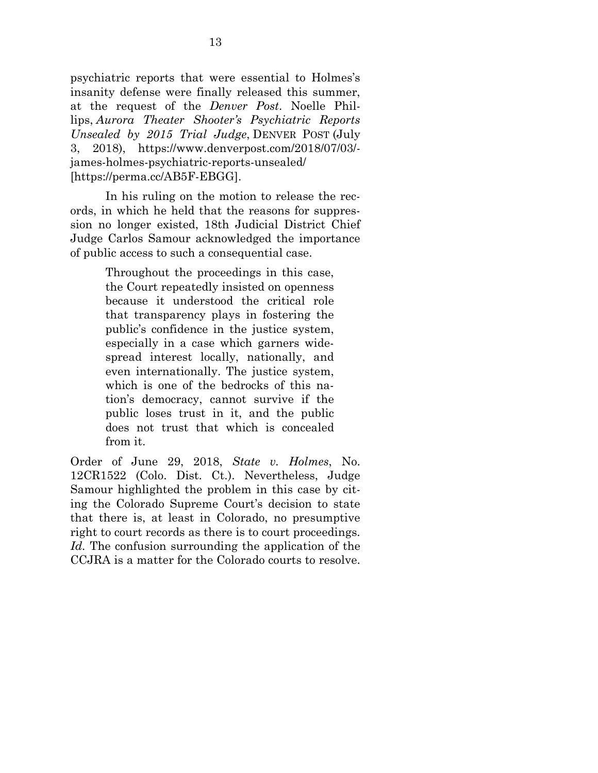psychiatric reports that were essential to Holmes's insanity defense were finally released this summer, at the request of the *Denver Post*. Noelle Phillips, *Aurora Theater Shooter's Psychiatric Reports Unsealed by 2015 Trial Judge*, DENVER POST (July 3, 2018), https://www.denverpost.com/2018/07/03/ james-holmes-psychiatric-reports-unsealed/ [https://perma.cc/AB5F-EBGG].

In his ruling on the motion to release the records, in which he held that the reasons for suppression no longer existed, 18th Judicial District Chief Judge Carlos Samour acknowledged the importance of public access to such a consequential case.

> Throughout the proceedings in this case, the Court repeatedly insisted on openness because it understood the critical role that transparency plays in fostering the public's confidence in the justice system, especially in a case which garners widespread interest locally, nationally, and even internationally. The justice system, which is one of the bedrocks of this nation's democracy, cannot survive if the public loses trust in it, and the public does not trust that which is concealed from it.

Order of June 29, 2018, *State v. Holmes*, No. 12CR1522 (Colo. Dist. Ct.). Nevertheless, Judge Samour highlighted the problem in this case by citing the Colorado Supreme Court's decision to state that there is, at least in Colorado, no presumptive right to court records as there is to court proceedings. *Id.* The confusion surrounding the application of the CCJRA is a matter for the Colorado courts to resolve.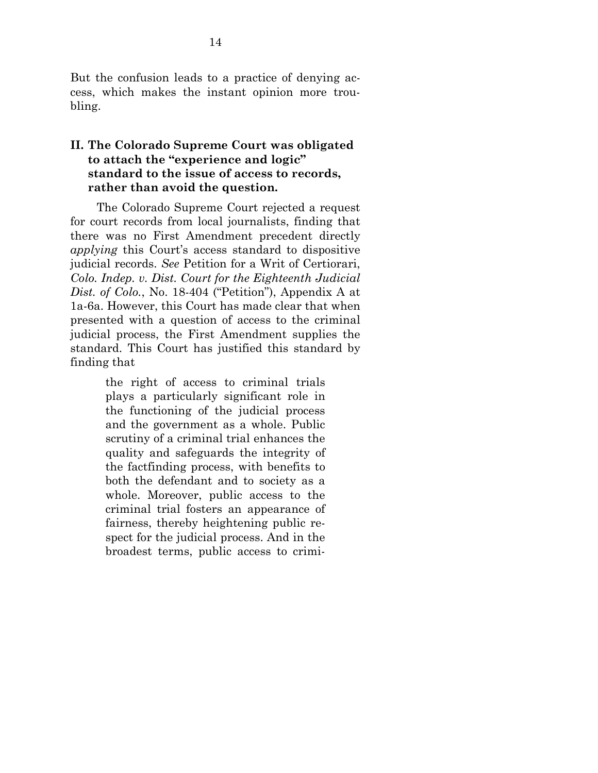But the confusion leads to a practice of denying access, which makes the instant opinion more troubling.

### <span id="page-18-0"></span>**II. The Colorado Supreme Court was obligated to attach the "experience and logic" standard to the issue of access to records, rather than avoid the question.**

The Colorado Supreme Court rejected a request for court records from local journalists, finding that there was no First Amendment precedent directly *applying* this Court's access standard to dispositive judicial records. *See* Petition for a Writ of Certiorari, *Colo. Indep. v. Dist. Court for the Eighteenth Judicial Dist. of Colo.*, No. 18-404 ("Petition"), Appendix A at 1a-6a. However, this Court has made clear that when presented with a question of access to the criminal judicial process, the First Amendment supplies the standard. This Court has justified this standard by finding that

> the right of access to criminal trials plays a particularly significant role in the functioning of the judicial process and the government as a whole. Public scrutiny of a criminal trial enhances the quality and safeguards the integrity of the factfinding process, with benefits to both the defendant and to society as a whole. Moreover, public access to the criminal trial fosters an appearance of fairness, thereby heightening public respect for the judicial process. And in the broadest terms, public access to crimi-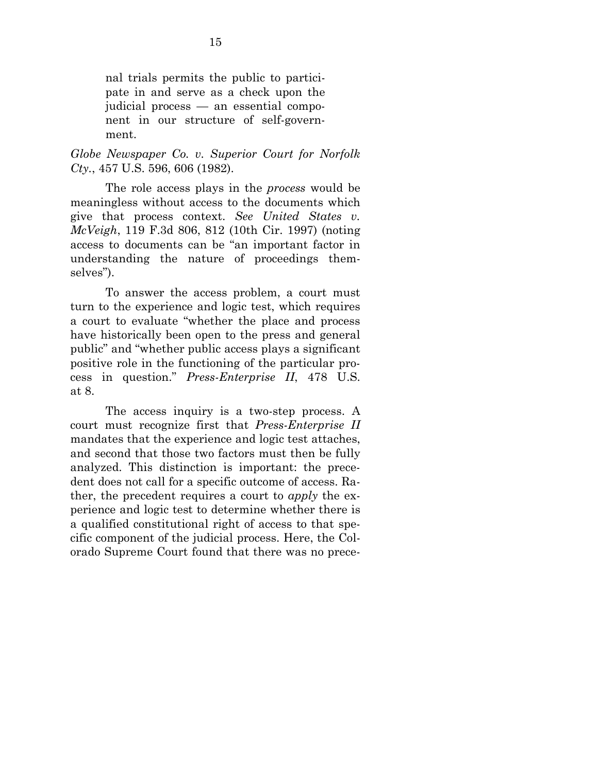nal trials permits the public to participate in and serve as a check upon the judicial process — an essential component in our structure of self-government.

*Globe Newspaper Co. v. Superior Court for Norfolk Cty.*, 457 U.S. 596, 606 (1982).

The role access plays in the *process* would be meaningless without access to the documents which give that process context. *See United States v. McVeigh*, 119 F.3d 806, 812 (10th Cir. 1997) (noting access to documents can be "an important factor in understanding the nature of proceedings themselves").

To answer the access problem, a court must turn to the experience and logic test, which requires a court to evaluate "whether the place and process have historically been open to the press and general public" and "whether public access plays a significant positive role in the functioning of the particular process in question." *Press-Enterprise II*, 478 U.S. at 8.

The access inquiry is a two-step process. A court must recognize first that *Press-Enterprise II*  mandates that the experience and logic test attaches, and second that those two factors must then be fully analyzed. This distinction is important: the precedent does not call for a specific outcome of access. Rather, the precedent requires a court to *apply* the experience and logic test to determine whether there is a qualified constitutional right of access to that specific component of the judicial process. Here, the Colorado Supreme Court found that there was no prece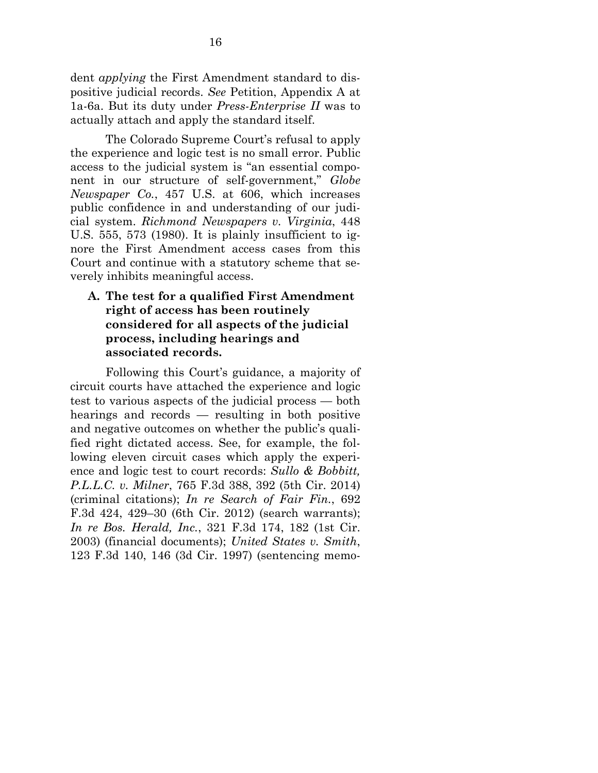dent *applying* the First Amendment standard to dispositive judicial records. *See* Petition, Appendix A at 1a-6a. But its duty under *Press-Enterprise II* was to actually attach and apply the standard itself.

The Colorado Supreme Court's refusal to apply the experience and logic test is no small error. Public access to the judicial system is "an essential component in our structure of self-government," *Globe Newspaper Co.*, 457 U.S. at 606, which increases public confidence in and understanding of our judicial system. *Richmond Newspapers v. Virginia*, 448 U.S. 555, 573 (1980). It is plainly insufficient to ignore the First Amendment access cases from this Court and continue with a statutory scheme that severely inhibits meaningful access.

### <span id="page-20-0"></span>**A. The test for a qualified First Amendment right of access has been routinely considered for all aspects of the judicial process, including hearings and associated records.**

Following this Court's guidance, a majority of circuit courts have attached the experience and logic test to various aspects of the judicial process — both hearings and records — resulting in both positive and negative outcomes on whether the public's qualified right dictated access. See, for example, the following eleven circuit cases which apply the experience and logic test to court records: *Sullo & Bobbitt, P.L.L.C. v. Milner*, 765 F.3d 388, 392 (5th Cir. 2014) (criminal citations); *In re Search of Fair Fin.*, 692 F.3d 424, 429–30 (6th Cir. 2012) (search warrants); *In re Bos. Herald, Inc.*, 321 F.3d 174, 182 (1st Cir. 2003) (financial documents); *United States v. Smith*, 123 F.3d 140, 146 (3d Cir. 1997) (sentencing memo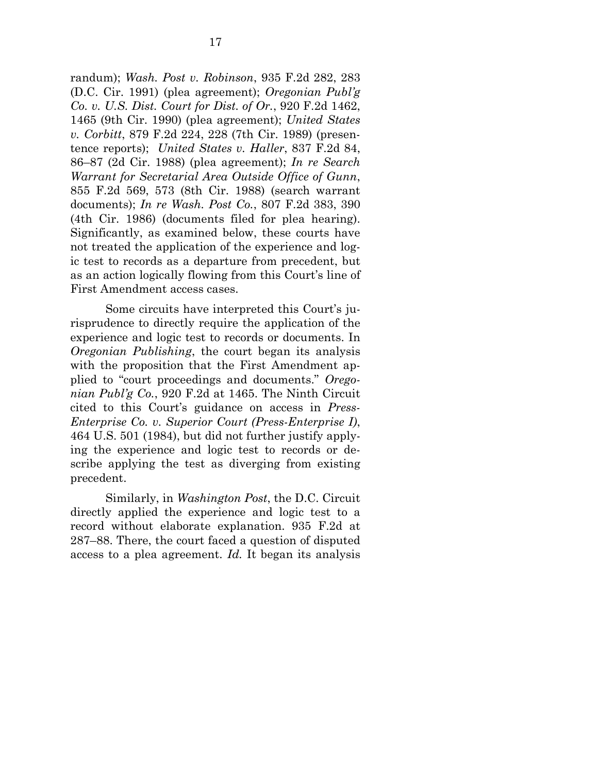randum); *Wash. Post v. Robinson*, 935 F.2d 282, 283 (D.C. Cir. 1991) (plea agreement); *Oregonian Publ'g Co. v. U.S. Dist. Court for Dist. of Or.*, 920 F.2d 1462, 1465 (9th Cir. 1990) (plea agreement); *United States v. Corbitt*, 879 F.2d 224, 228 (7th Cir. 1989) (presentence reports); *United States v. Haller*, 837 F.2d 84, 86–87 (2d Cir. 1988) (plea agreement); *In re Search Warrant for Secretarial Area Outside Office of Gunn*, 855 F.2d 569, 573 (8th Cir. 1988) (search warrant documents); *In re Wash. Post Co.*, 807 F.2d 383, 390 (4th Cir. 1986) (documents filed for plea hearing). Significantly, as examined below, these courts have not treated the application of the experience and logic test to records as a departure from precedent, but as an action logically flowing from this Court's line of First Amendment access cases.

Some circuits have interpreted this Court's jurisprudence to directly require the application of the experience and logic test to records or documents. In *Oregonian Publishing*, the court began its analysis with the proposition that the First Amendment applied to "court proceedings and documents." *Oregonian Publ'g Co.*, 920 F.2d at 1465. The Ninth Circuit cited to this Court's guidance on access in *Press-Enterprise Co. v. Superior Court (Press-Enterprise I)*, 464 U.S. 501 (1984), but did not further justify applying the experience and logic test to records or describe applying the test as diverging from existing precedent.

Similarly, in *Washington Post*, the D.C. Circuit directly applied the experience and logic test to a record without elaborate explanation. 935 F.2d at 287–88. There, the court faced a question of disputed access to a plea agreement. *Id.* It began its analysis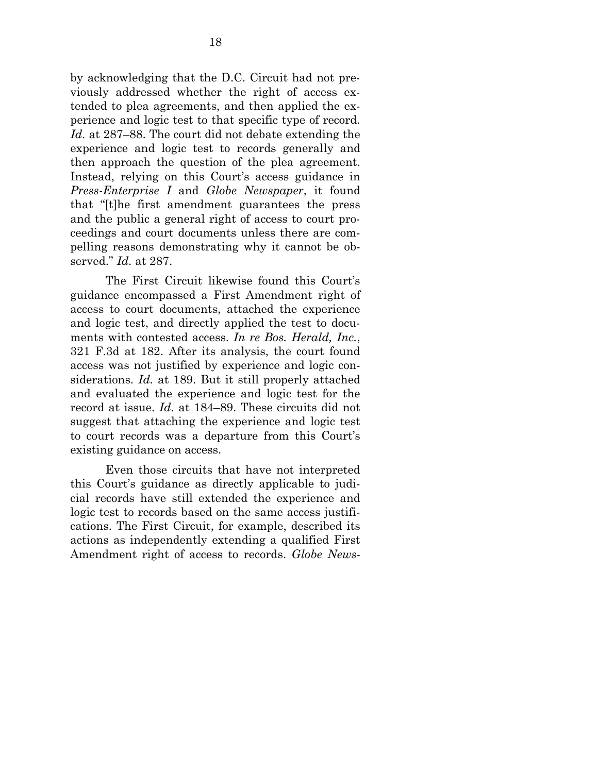by acknowledging that the D.C. Circuit had not previously addressed whether the right of access extended to plea agreements, and then applied the experience and logic test to that specific type of record. *Id.* at 287–88. The court did not debate extending the experience and logic test to records generally and then approach the question of the plea agreement. Instead, relying on this Court's access guidance in *Press-Enterprise I* and *Globe Newspaper*, it found that "[t]he first amendment guarantees the press and the public a general right of access to court proceedings and court documents unless there are compelling reasons demonstrating why it cannot be observed." *Id.* at 287.

The First Circuit likewise found this Court's guidance encompassed a First Amendment right of access to court documents, attached the experience and logic test, and directly applied the test to documents with contested access. *In re Bos. Herald, Inc.*, 321 F.3d at 182. After its analysis, the court found access was not justified by experience and logic considerations. *Id.* at 189. But it still properly attached and evaluated the experience and logic test for the record at issue. *Id.* at 184–89. These circuits did not suggest that attaching the experience and logic test to court records was a departure from this Court's existing guidance on access.

Even those circuits that have not interpreted this Court's guidance as directly applicable to judicial records have still extended the experience and logic test to records based on the same access justifications. The First Circuit, for example, described its actions as independently extending a qualified First Amendment right of access to records. *Globe News-*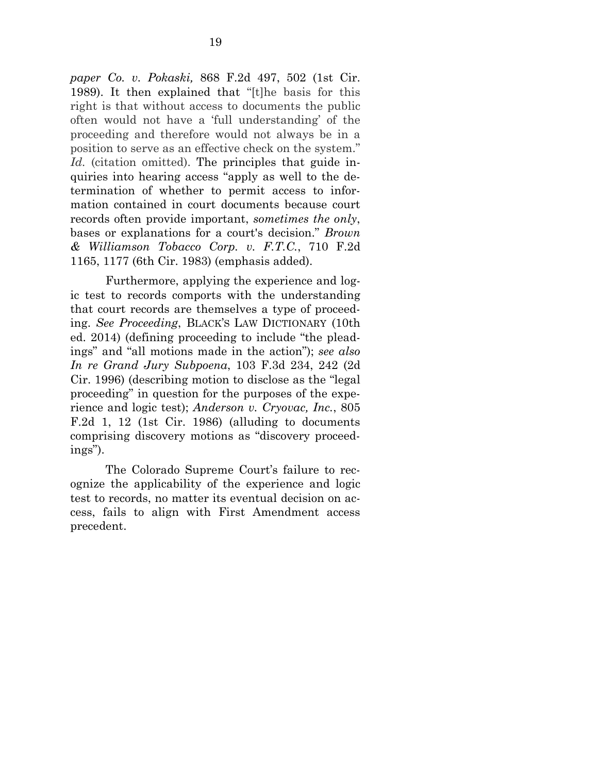*paper Co. v. Pokaski,* 868 F.2d 497, 502 (1st Cir. 1989). It then explained that "[t]he basis for this right is that without access to documents the public often would not have a 'full understanding' of the proceeding and therefore would not always be in a position to serve as an effective check on the system." Id. (citation omitted). The principles that guide inquiries into hearing access "apply as well to the determination of whether to permit access to information contained in court documents because court records often provide important, *sometimes the only*, bases or explanations for a court's decision." *Brown & Williamson Tobacco Corp. v. F.T.C.*, 710 F.2d 1165, 1177 (6th Cir. 1983) (emphasis added).

Furthermore, applying the experience and logic test to records comports with the understanding that court records are themselves a type of proceeding. *See Proceeding*, BLACK'S LAW DICTIONARY (10th ed. 2014) (defining proceeding to include "the pleadings" and "all motions made in the action"); *see also In re Grand Jury Subpoena*, 103 F.3d 234, 242 (2d Cir. 1996) (describing motion to disclose as the "legal proceeding" in question for the purposes of the experience and logic test); *Anderson v. Cryovac, Inc.*, 805 F.2d 1, 12 (1st Cir. 1986) (alluding to documents comprising discovery motions as "discovery proceedings").

The Colorado Supreme Court's failure to recognize the applicability of the experience and logic test to records, no matter its eventual decision on access, fails to align with First Amendment access precedent.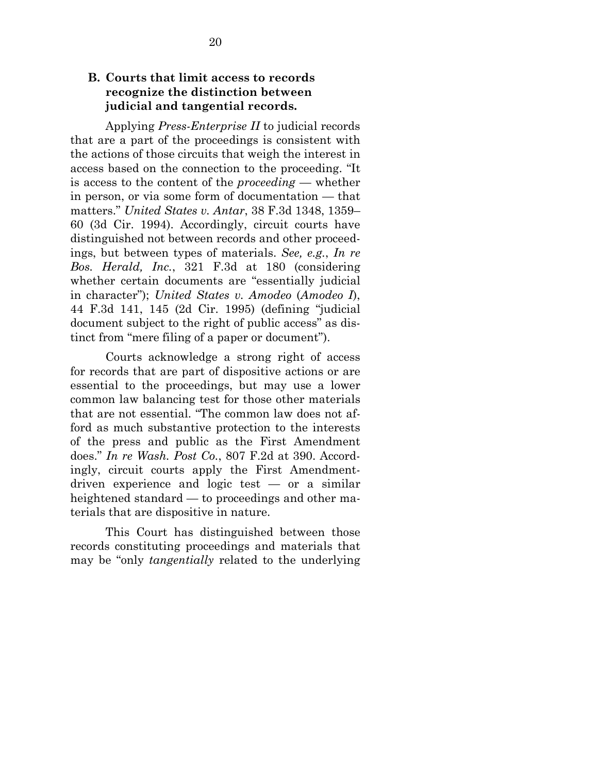#### <span id="page-24-0"></span>**B. Courts that limit access to records recognize the distinction between judicial and tangential records.**

Applying *Press-Enterprise II* to judicial records that are a part of the proceedings is consistent with the actions of those circuits that weigh the interest in access based on the connection to the proceeding. "It is access to the content of the *proceeding* — whether in person, or via some form of documentation — that matters." *United States v. Antar*, 38 F.3d 1348, 1359– 60 (3d Cir. 1994). Accordingly, circuit courts have distinguished not between records and other proceedings, but between types of materials. *See, e.g.*, *In re Bos. Herald, Inc.*, 321 F.3d at 180 (considering whether certain documents are "essentially judicial in character"); *United States v. Amodeo* (*Amodeo I*), 44 F.3d 141, 145 (2d Cir. 1995) (defining "judicial document subject to the right of public access" as distinct from "mere filing of a paper or document").

Courts acknowledge a strong right of access for records that are part of dispositive actions or are essential to the proceedings, but may use a lower common law balancing test for those other materials that are not essential. "The common law does not afford as much substantive protection to the interests of the press and public as the First Amendment does." *In re Wash. Post Co.*, 807 F.2d at 390. Accordingly, circuit courts apply the First Amendmentdriven experience and logic test — or a similar heightened standard — to proceedings and other materials that are dispositive in nature.

This Court has distinguished between those records constituting proceedings and materials that may be "only *tangentially* related to the underlying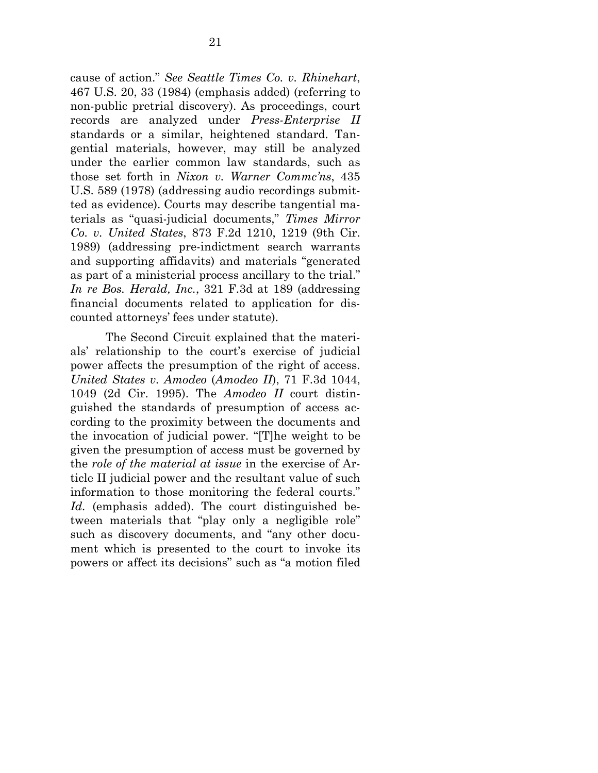cause of action." *See Seattle Times Co. v. Rhinehart*, 467 U.S. 20, 33 (1984) (emphasis added) (referring to non-public pretrial discovery). As proceedings, court records are analyzed under *Press-Enterprise II*  standards or a similar, heightened standard. Tangential materials, however, may still be analyzed under the earlier common law standards, such as those set forth in *Nixon v. Warner Commc'ns*, 435 U.S. 589 (1978) (addressing audio recordings submitted as evidence). Courts may describe tangential materials as "quasi-judicial documents," *Times Mirror Co. v. United States*, 873 F.2d 1210, 1219 (9th Cir. 1989) (addressing pre-indictment search warrants and supporting affidavits) and materials "generated as part of a ministerial process ancillary to the trial." *In re Bos. Herald, Inc.*, 321 F.3d at 189 (addressing financial documents related to application for discounted attorneys' fees under statute).

The Second Circuit explained that the materials' relationship to the court's exercise of judicial power affects the presumption of the right of access. *United States v. Amodeo* (*Amodeo II*), 71 F.3d 1044, 1049 (2d Cir. 1995). The *Amodeo II* court distinguished the standards of presumption of access according to the proximity between the documents and the invocation of judicial power. "[T]he weight to be given the presumption of access must be governed by the *role of the material at issue* in the exercise of Article II judicial power and the resultant value of such information to those monitoring the federal courts." *Id.* (emphasis added). The court distinguished between materials that "play only a negligible role" such as discovery documents, and "any other document which is presented to the court to invoke its powers or affect its decisions" such as "a motion filed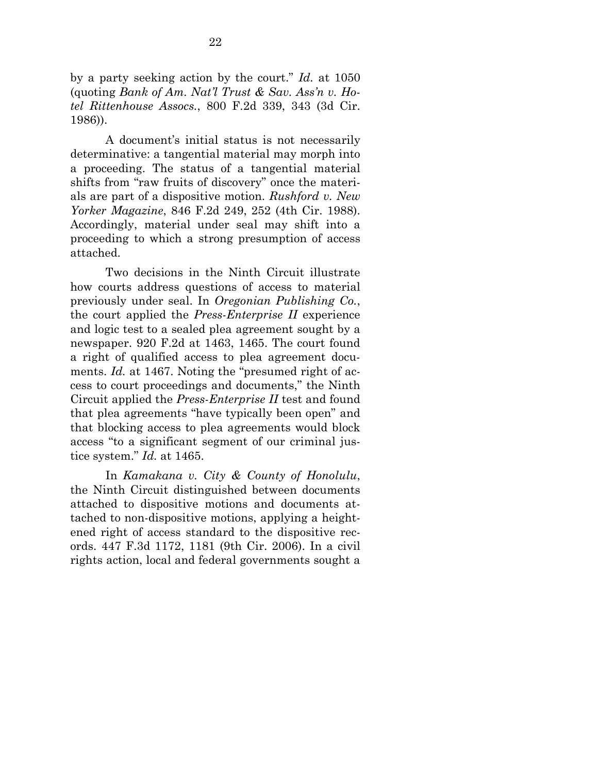by a party seeking action by the court." *Id.* at 1050 (quoting *Bank of Am. Nat'l Trust & Sav. Ass'n v. Hotel Rittenhouse Assocs.*, 800 F.2d 339, 343 (3d Cir. 1986)).

A document's initial status is not necessarily determinative: a tangential material may morph into a proceeding. The status of a tangential material shifts from "raw fruits of discovery" once the materials are part of a dispositive motion. *Rushford v. New Yorker Magazine*, 846 F.2d 249, 252 (4th Cir. 1988). Accordingly, material under seal may shift into a proceeding to which a strong presumption of access attached.

Two decisions in the Ninth Circuit illustrate how courts address questions of access to material previously under seal. In *Oregonian Publishing Co.*, the court applied the *Press-Enterprise II* experience and logic test to a sealed plea agreement sought by a newspaper. 920 F.2d at 1463, 1465. The court found a right of qualified access to plea agreement documents. *Id.* at 1467. Noting the "presumed right of access to court proceedings and documents," the Ninth Circuit applied the *Press-Enterprise II* test and found that plea agreements "have typically been open" and that blocking access to plea agreements would block access "to a significant segment of our criminal justice system." *Id.* at 1465.

In *Kamakana v. City & County of Honolulu*, the Ninth Circuit distinguished between documents attached to dispositive motions and documents attached to non-dispositive motions, applying a heightened right of access standard to the dispositive records. 447 F.3d 1172, 1181 (9th Cir. 2006). In a civil rights action, local and federal governments sought a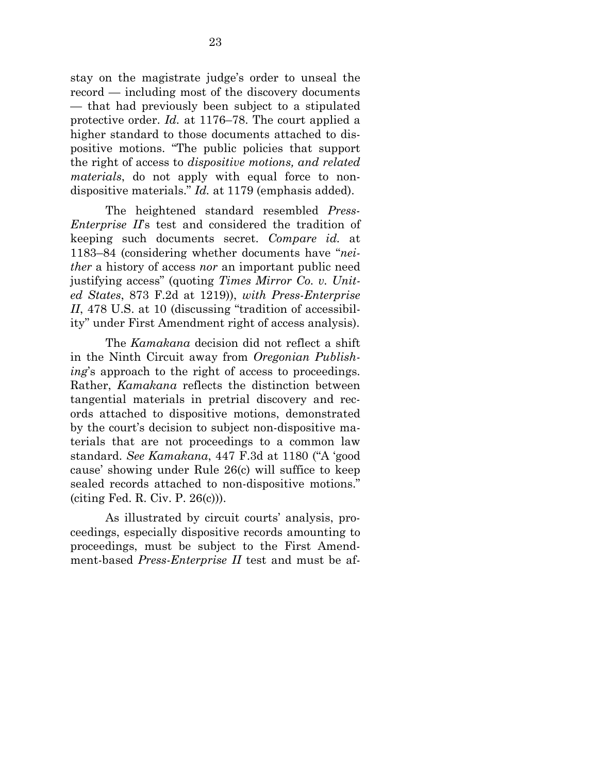stay on the magistrate judge's order to unseal the record — including most of the discovery documents — that had previously been subject to a stipulated protective order. *Id.* at 1176–78. The court applied a higher standard to those documents attached to dispositive motions. "The public policies that support the right of access to *dispositive motions, and related materials*, do not apply with equal force to nondispositive materials." *Id.* at 1179 (emphasis added).

The heightened standard resembled *Press-Enterprise II*'s test and considered the tradition of keeping such documents secret. *Compare id.* at 1183–84 (considering whether documents have "*neither* a history of access *nor* an important public need justifying access" (quoting *Times Mirror Co. v. United States*, 873 F.2d at 1219)), *with Press-Enterprise II*, 478 U.S. at 10 (discussing "tradition of accessibility" under First Amendment right of access analysis).

The *Kamakana* decision did not reflect a shift in the Ninth Circuit away from *Oregonian Publishing*'s approach to the right of access to proceedings. Rather, *Kamakana* reflects the distinction between tangential materials in pretrial discovery and records attached to dispositive motions, demonstrated by the court's decision to subject non-dispositive materials that are not proceedings to a common law standard. *See Kamakana*, 447 F.3d at 1180 ("A 'good cause' showing under Rule 26(c) will suffice to keep sealed records attached to non-dispositive motions." (citing Fed. R. Civ. P. 26(c))).

As illustrated by circuit courts' analysis, proceedings, especially dispositive records amounting to proceedings, must be subject to the First Amendment-based *Press-Enterprise II* test and must be af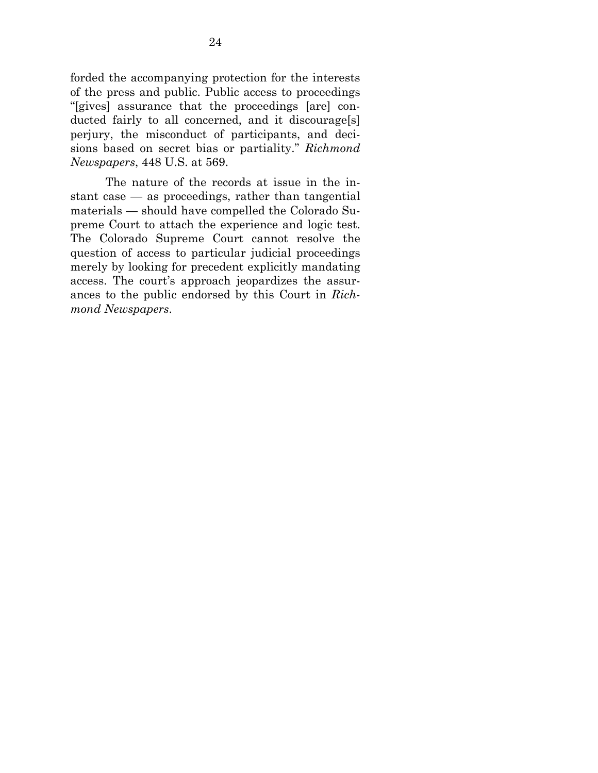forded the accompanying protection for the interests of the press and public. Public access to proceedings "[gives] assurance that the proceedings [are] conducted fairly to all concerned, and it discourage[s] perjury, the misconduct of participants, and decisions based on secret bias or partiality." *Richmond Newspapers*, 448 U.S. at 569.

<span id="page-28-0"></span>The nature of the records at issue in the instant case — as proceedings, rather than tangential materials — should have compelled the Colorado Supreme Court to attach the experience and logic test. The Colorado Supreme Court cannot resolve the question of access to particular judicial proceedings merely by looking for precedent explicitly mandating access. The court's approach jeopardizes the assurances to the public endorsed by this Court in *Richmond Newspapers*.